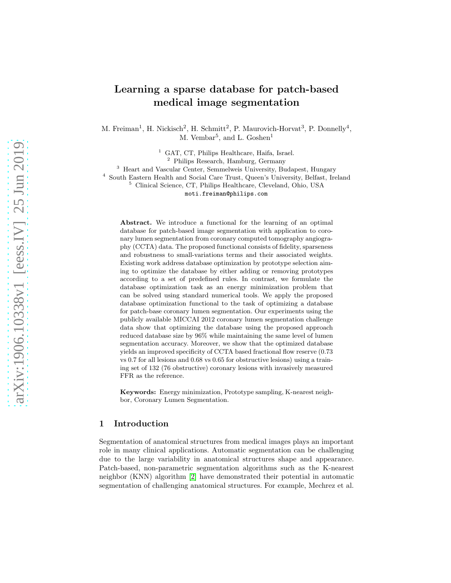# Learning a sparse database for patch-based medical image segmentation

M. Freiman<sup>1</sup>, H. Nickisch<sup>2</sup>, H. Schmitt<sup>2</sup>, P. Maurovich-Horvat<sup>3</sup>, P. Donnelly<sup>4</sup>, M. Vembar<sup>5</sup>, and L. Goshen<sup>1</sup>

<sup>1</sup> GAT, CT, Philips Healthcare, Haifa, Israel.

<sup>2</sup> Philips Research, Hamburg, Germany

<sup>3</sup> Heart and Vascular Center, Semmelweis University, Budapest, Hungary

4 South Eastern Health and Social Care Trust, Queen's University, Belfast, Ireland

<sup>5</sup> Clinical Science, CT, Philips Healthcare, Cleveland, Ohio, USA

moti.freiman@philips.com

Abstract. We introduce a functional for the learning of an optimal database for patch-based image segmentation with application to coronary lumen segmentation from coronary computed tomography angiography (CCTA) data. The proposed functional consists of fidelity, sparseness and robustness to small-variations terms and their associated weights. Existing work address database optimization by prototype selection aiming to optimize the database by either adding or removing prototypes according to a set of predefined rules. In contrast, we formulate the database optimization task as an energy minimization problem that can be solved using standard numerical tools. We apply the proposed database optimization functional to the task of optimizing a database for patch-base coronary lumen segmentation. Our experiments using the publicly available MICCAI 2012 coronary lumen segmentation challenge data show that optimizing the database using the proposed approach reduced database size by 96% while maintaining the same level of lumen segmentation accuracy. Moreover, we show that the optimized database yields an improved specificity of CCTA based fractional flow reserve (0.73 vs 0.7 for all lesions and 0.68 vs 0.65 for obstructive lesions) using a training set of 132 (76 obstructive) coronary lesions with invasively measured FFR as the reference.

Keywords: Energy minimization, Prototype sampling, K-nearest neighbor, Coronary Lumen Segmentation.

### 1 Introduction

Segmentation of anatomical structures from medical images plays an important role in many clinical applications. Automatic segmentation can be challenging due to the large variability in anatomical structures shape and appearance. Patch-based, non-parametric segmentation algorithms such as the K-nearest neighbor (KNN) algorithm [\[2\]](#page-7-0) have demonstrated their potential in automatic segmentation of challenging anatomical structures. For example, Mechrez et al.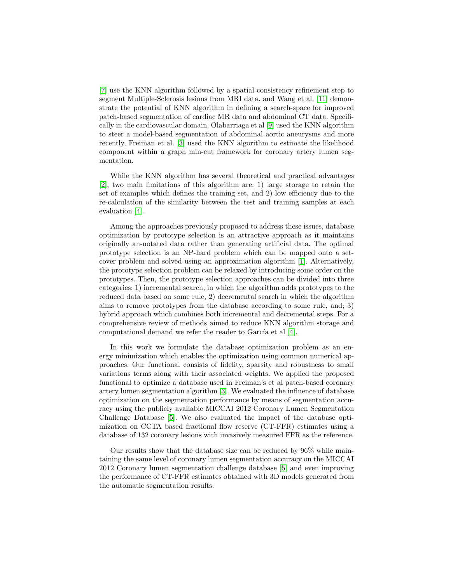[\[7\]](#page-7-1) use the KNN algorithm followed by a spatial consistency refinement step to segment Multiple-Sclerosis lesions from MRI data, and Wang et al. [\[11\]](#page-7-2) demonstrate the potential of KNN algorithm in defining a search-space for improved patch-based segmentation of cardiac MR data and abdominal CT data. Specifically in the cardiovascular domain, Olabarriaga et al [\[9\]](#page-7-3) used the KNN algorithm to steer a model-based segmentation of abdominal aortic aneurysms and more recently, Freiman et al. [\[3\]](#page-7-4) used the KNN algorithm to estimate the likelihood component within a graph min-cut framework for coronary artery lumen segmentation.

While the KNN algorithm has several theoretical and practical advantages [\[2\]](#page-7-0), two main limitations of this algorithm are: 1) large storage to retain the set of examples which defines the training set, and 2) low efficiency due to the re-calculation of the similarity between the test and training samples at each evaluation [\[4\]](#page-7-5).

Among the approaches previously proposed to address these issues, database optimization by prototype selection is an attractive approach as it maintains originally an-notated data rather than generating artificial data. The optimal prototype selection is an NP-hard problem which can be mapped onto a setcover problem and solved using an approximation algorithm [\[1\]](#page-7-6). Alternatively, the prototype selection problem can be relaxed by introducing some order on the prototypes. Then, the prototype selection approaches can be divided into three categories: 1) incremental search, in which the algorithm adds prototypes to the reduced data based on some rule, 2) decremental search in which the algorithm aims to remove prototypes from the database according to some rule, and; 3) hybrid approach which combines both incremental and decremental steps. For a comprehensive review of methods aimed to reduce KNN algorithm storage and computational demand we refer the reader to García et al  $[4]$ .

In this work we formulate the database optimization problem as an energy minimization which enables the optimization using common numerical approaches. Our functional consists of fidelity, sparsity and robustness to small variations terms along with their associated weights. We applied the proposed functional to optimize a database used in Freiman's et al patch-based coronary artery lumen segmentation algorithm [\[3\]](#page-7-4). We evaluated the influence of database optimization on the segmentation performance by means of segmentation accuracy using the publicly available MICCAI 2012 Coronary Lumen Segmentation Challenge Database [\[5\]](#page-7-7). We also evaluated the impact of the database optimization on CCTA based fractional flow reserve (CT-FFR) estimates using a database of 132 coronary lesions with invasively measured FFR as the reference.

Our results show that the database size can be reduced by 96% while maintaining the same level of coronary lumen segmentation accuracy on the MICCAI 2012 Coronary lumen segmentation challenge database [\[5\]](#page-7-7) and even improving the performance of CT-FFR estimates obtained with 3D models generated from the automatic segmentation results.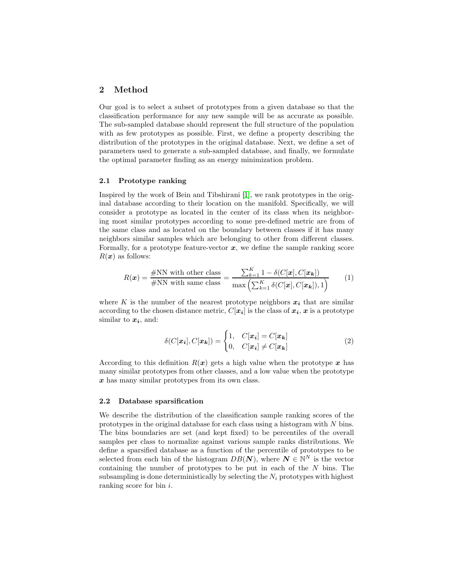# 2 Method

Our goal is to select a subset of prototypes from a given database so that the classification performance for any new sample will be as accurate as possible. The sub-sampled database should represent the full structure of the population with as few prototypes as possible. First, we define a property describing the distribution of the prototypes in the original database. Next, we define a set of parameters used to generate a sub-sampled database, and finally, we formulate the optimal parameter finding as an energy minimization problem.

#### 2.1 Prototype ranking

Inspired by the work of Bein and Tibshirani [\[1\]](#page-7-6), we rank prototypes in the original database according to their location on the manifold. Specifically, we will consider a prototype as located in the center of its class when its neighboring most similar prototypes according to some pre-defined metric are from of the same class and as located on the boundary between classes if it has many neighbors similar samples which are belonging to other from different classes. Formally, for a prototype feature-vector  $x$ , we define the sample ranking score  $R(x)$  as follows:

<span id="page-2-0"></span>
$$
R(\boldsymbol{x}) = \frac{\text{\#NN with other class}}{\text{\#NN with same class}} = \frac{\sum_{k=1}^{K} 1 - \delta(C[\boldsymbol{x}], C[\boldsymbol{x_k}])}{\max(\sum_{k=1}^{K} \delta(C[\boldsymbol{x}], C[\boldsymbol{x_k}]), 1)} \tag{1}
$$

where K is the number of the nearest prototype neighbors  $x_i$  that are similar according to the chosen distance metric,  $C[x_i]$  is the class of  $x_i$ , x is a prototype similar to  $x_i$ , and:

$$
\delta(C[\mathbf{x_i}], C[\mathbf{x_k}]) = \begin{cases} 1, & C[\mathbf{x_i}] = C[\mathbf{x_k}] \\ 0, & C[\mathbf{x_i}] \neq C[\mathbf{x_k}] \end{cases}
$$
(2)

According to this definition  $R(x)$  gets a high value when the prototype x has many similar prototypes from other classes, and a low value when the prototype x has many similar prototypes from its own class.

#### 2.2 Database sparsification

We describe the distribution of the classification sample ranking scores of the prototypes in the original database for each class using a histogram with N bins. The bins boundaries are set (and kept fixed) to be percentiles of the overall samples per class to normalize against various sample ranks distributions. We define a sparsified database as a function of the percentile of prototypes to be selected from each bin of the histogram  $DB(N)$ , where  $N \in \mathbb{N}^N$  is the vector containing the number of prototypes to be put in each of the N bins. The subsampling is done deterministically by selecting the  $N_i$  prototypes with highest ranking score for bin i.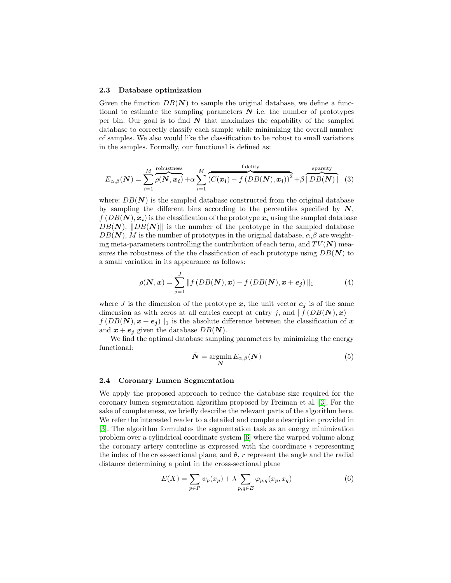#### 2.3 Database optimization

Given the function  $DB(N)$  to sample the original database, we define a functional to estimate the sampling parameters  $N$  i.e. the number of prototypes per bin. Our goal is to find  $N$  that maximizes the capability of the sampled database to correctly classify each sample while minimizing the overall number of samples. We also would like the classification to be robust to small variations in the samples. Formally, our functional is defined as:

<span id="page-3-0"></span>
$$
E_{\alpha,\beta}(\mathbf{N}) = \sum_{i=1}^{M} \overbrace{\rho(\mathbf{N}, \mathbf{x_i})}^{\text{robustness}} + \alpha \sum_{i=1}^{M} \overbrace{\left(C(\mathbf{x_i}) - f\left(DB(\mathbf{N}), \mathbf{x_i}\right)\right)^2}^{\text{fidelity}} + \beta \overbrace{\|DB(\mathbf{N})\|}^{\text{sparsity}} \tag{3}
$$

where:  $DB(N)$  is the sampled database constructed from the original database by sampling the different bins according to the percentiles specified by  $N$ ,  $f(DB(N), x_i)$  is the classification of the prototype  $x_i$  using the sampled database  $DB(N), \|DB(N)\|$  is the number of the prototype in the sampled database  $DB(N)$ , M is the number of prototypes in the original database,  $\alpha, \beta$  are weighting meta-parameters controlling the contribution of each term, and  $TV(N)$  measures the robustness of the the classification of each prototype using  $DB(N)$  to a small variation in its appearance as follows:

$$
\rho(\mathbf{N}, \mathbf{x}) = \sum_{j=1}^{J} ||f\left(DB(\mathbf{N}), \mathbf{x}\right) - f\left(DB(\mathbf{N}), \mathbf{x} + \mathbf{e}_j\right)||_1 \tag{4}
$$

where J is the dimension of the prototype  $x$ , the unit vector  $e_j$  is of the same dimension as with zeros at all entries except at entry j, and  $\|f(DB(N), x)$  $f(DB(N), x+e_j)$ <sub>1</sub> is the absolute difference between the classification of x and  $x + e_j$  given the database  $DB(N)$ .

We find the optimal database sampling parameters by minimizing the energy functional:

<span id="page-3-1"></span>
$$
\hat{\mathbf{N}} = \operatorname*{argmin}_{\mathbf{N}} E_{\alpha,\beta}(\mathbf{N})
$$
\n(5)

#### <span id="page-3-2"></span>2.4 Coronary Lumen Segmentation

We apply the proposed approach to reduce the database size required for the coronary lumen segmentation algorithm proposed by Freiman et al. [\[3\]](#page-7-4). For the sake of completeness, we briefly describe the relevant parts of the algorithm here. We refer the interested reader to a detailed and complete description provided in [\[3\]](#page-7-4). The algorithm formulates the segmentation task as an energy minimization problem over a cylindrical coordinate system [\[6\]](#page-7-8) where the warped volume along the coronary artery centerline is expressed with the coordinate  $i$  representing the index of the cross-sectional plane, and  $\theta$ , r represent the angle and the radial distance determining a point in the cross-sectional plane

$$
E(X) = \sum_{p \in P} \psi_p(x_p) + \lambda \sum_{p,q \in E} \varphi_{p,q}(x_p, x_q)
$$
 (6)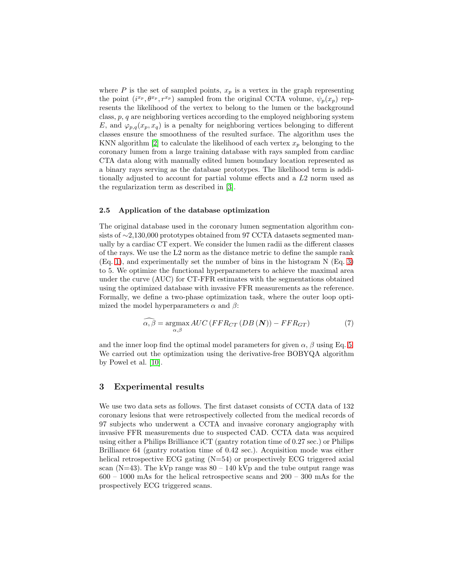where  $P$  is the set of sampled points,  $x_p$  is a vertex in the graph representing the point  $(i^{x_p}, \theta^{x_p}, r^{x_p})$  sampled from the original CCTA volume,  $\psi_p(x_p)$  represents the likelihood of the vertex to belong to the lumen or the background class, p, q are neighboring vertices according to the employed neighboring system E, and  $\varphi_{p,q}(x_p, x_q)$  is a penalty for neighboring vertices belonging to different classes ensure the smoothness of the resulted surface. The algorithm uses the KNN algorithm [\[2\]](#page-7-0) to calculate the likelihood of each vertex  $x_n$  belonging to the coronary lumen from a large training database with rays sampled from cardiac CTA data along with manually edited lumen boundary location represented as a binary rays serving as the database prototypes. The likelihood term is additionally adjusted to account for partial volume effects and a L2 norm used as the regularization term as described in [\[3\]](#page-7-4).

#### 2.5 Application of the database optimization

The original database used in the coronary lumen segmentation algorithm consists of ∼2,130,000 prototypes obtained from 97 CCTA datasets segmented manually by a cardiac CT expert. We consider the lumen radii as the different classes of the rays. We use the L2 norm as the distance metric to define the sample rank (Eq. [1\)](#page-2-0), and experimentally set the number of bins in the histogram N (Eq. [3\)](#page-3-0) to 5. We optimize the functional hyperparameters to achieve the maximal area under the curve (AUC) for CT-FFR estimates with the segmentations obtained using the optimized database with invasive FFR measurements as the reference. Formally, we define a two-phase optimization task, where the outer loop optimized the model hyperparameters  $\alpha$  and  $\beta$ :

<span id="page-4-0"></span>
$$
\widehat{\alpha,\beta} = \underset{\alpha,\beta}{\text{argmax}} \, AUC \left( FFR_{CT} \left( DB \left( \mathbf{N} \right) \right) - FFR_{GT} \right) \tag{7}
$$

and the inner loop find the optimal model parameters for given  $\alpha$ ,  $\beta$  using Eq. [5.](#page-3-1) We carried out the optimization using the derivative-free BOBYQA algorithm by Powel et al. [\[10\]](#page-7-9).

## 3 Experimental results

We use two data sets as follows. The first dataset consists of CCTA data of 132 coronary lesions that were retrospectively collected from the medical records of 97 subjects who underwent a CCTA and invasive coronary angiography with invasive FFR measurements due to suspected CAD. CCTA data was acquired using either a Philips Brilliance iCT (gantry rotation time of 0.27 sec.) or Philips Brilliance 64 (gantry rotation time of 0.42 sec.). Acquisition mode was either helical retrospective ECG gating  $(N=54)$  or prospectively ECG triggered axial scan (N=43). The kVp range was  $80 - 140$  kVp and the tube output range was  $600 - 1000$  mAs for the helical retrospective scans and  $200 - 300$  mAs for the prospectively ECG triggered scans.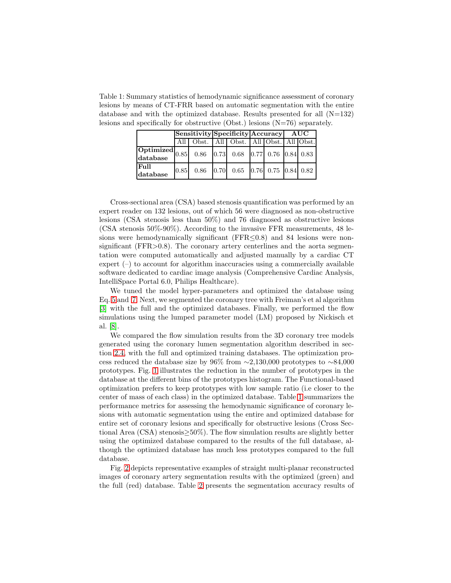<span id="page-5-0"></span>Table 1: Summary statistics of hemodynamic significance assessment of coronary lesions by means of CT-FRR based on automatic segmentation with the entire database and with the optimized database. Results presented for all  $(N=132)$ lesions and specifically for obstructive (Obst.) lesions (N=76) separately.

|                  | $\left \text{Sensitivity}\right \text{Specificity}$ Accuracy AUC |                                         |  |  |  |  |  |  |
|------------------|------------------------------------------------------------------|-----------------------------------------|--|--|--|--|--|--|
|                  |                                                                  | All Obst. All Obst. All Obst. All Obst. |  |  |  |  |  |  |
|                  |                                                                  |                                         |  |  |  |  |  |  |
| Full<br>database |                                                                  |                                         |  |  |  |  |  |  |

Cross-sectional area (CSA) based stenosis quantification was performed by an expert reader on 132 lesions, out of which 56 were diagnosed as non-obstructive lesions (CSA stenosis less than 50%) and 76 diagnosed as obstructive lesions (CSA stenosis 50%-90%). According to the invasive FFR measurements, 48 lesions were hemodynamically significant ( $FFR \leq 0.8$ ) and 84 lesions were nonsignificant (FFR>0.8). The coronary artery centerlines and the aorta segmentation were computed automatically and adjusted manually by a cardiac CT expert  $(-)$  to account for algorithm inaccuracies using a commercially available software dedicated to cardiac image analysis (Comprehensive Cardiac Analysis, IntelliSpace Portal 6.0, Philips Healthcare).

We tuned the model hyper-parameters and optimized the database using Eq. [5](#page-3-1) and [7.](#page-4-0) Next, we segmented the coronary tree with Freiman's et al algorithm [\[3\]](#page-7-4) with the full and the optimized databases. Finally, we performed the flow simulations using the lumped parameter model (LM) proposed by Nickisch et al. [\[8\]](#page-7-10).

We compared the flow simulation results from the 3D coronary tree models generated using the coronary lumen segmentation algorithm described in section [2.4,](#page-3-2) with the full and optimized training databases. The optimization process reduced the database size by 96% from  $\sim$ 2,130,000 prototypes to ∼84,000 prototypes. Fig. [1](#page-6-0) illustrates the reduction in the number of prototypes in the database at the different bins of the prototypes histogram. The Functional-based optimization prefers to keep prototypes with low sample ratio (i.e closer to the center of mass of each class) in the optimized database. Table [1](#page-5-0) summarizes the performance metrics for assessing the hemodynamic significance of coronary lesions with automatic segmentation using the entire and optimized database for entire set of coronary lesions and specifically for obstructive lesions (Cross Sectional Area (CSA) stenosis≥50%). The flow simulation results are slightly better using the optimized database compared to the results of the full database, although the optimized database has much less prototypes compared to the full database.

Fig. [2](#page-6-1) depicts representative examples of straight multi-planar reconstructed images of coronary artery segmentation results with the optimized (green) and the full (red) database. Table [2](#page-6-2) presents the segmentation accuracy results of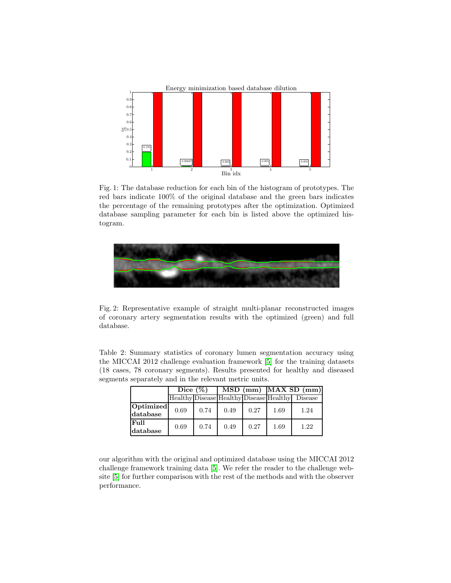<span id="page-6-0"></span>

Fig. 1: The database reduction for each bin of the histogram of prototypes. The red bars indicate 100% of the original database and the green bars indicates the percentage of the remaining prototypes after the optimization. Optimized database sampling parameter for each bin is listed above the optimized histogram.

<span id="page-6-1"></span>

Fig. 2: Representative example of straight multi-planar reconstructed images of coronary artery segmentation results with the optimized (green) and full database.

<span id="page-6-2"></span>Table 2: Summary statistics of coronary lumen segmentation accuracy using the MICCAI 2012 challenge evaluation framework [\[5\]](#page-7-7) for the training datasets (18 cases, 78 coronary segments). Results presented for healthy and diseased segments separately and in the relevant metric units.

|                       | Dice $(\%)$ |      |      |      | $MSD$ (mm) $MAX SD$ (mm) |                                                 |  |
|-----------------------|-------------|------|------|------|--------------------------|-------------------------------------------------|--|
|                       |             |      |      |      |                          | Healthy Disease Healthy Disease Healthy Disease |  |
| Optimized<br>database | 0.69        | 0.74 | 0.49 | 0.27 | 1.69                     | 1.24                                            |  |
| Full<br>database      | 0.69        | 0.74 | 0.49 | 0.27 | 1.69                     | 1.22                                            |  |

our algorithm with the original and optimized database using the MICCAI 2012 challenge framework training data [\[5\]](#page-7-7). We refer the reader to the challenge website [\[5\]](#page-7-7) for further comparison with the rest of the methods and with the observer performance.